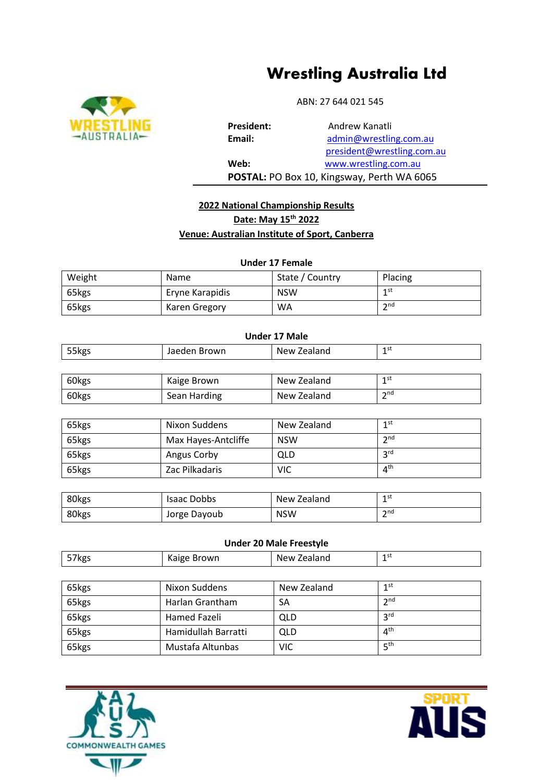# **Wrestling Australia Ltd**



ABN: 27 644 021 545

President: **Andrew Kanatli Email:** admin[@wrestling.com.au](mailto:admin@wrestling.com.au) president@wrestling.com.au **Web:** www.wrestling.com.au **POSTAL:** PO Box 10, Kingsway, Perth WA 6065

## **2022 National Championship Results Date: May 15th 2022 Venue: Australian Institute of Sport, Canberra**

**Under 17 Female**

| Weight | Name            | State / Country | Placing         |
|--------|-----------------|-----------------|-----------------|
| 65kgs  | Eryne Karapidis | <b>NSW</b>      | 1 st            |
| 65kgs  | Karen Gregory   | <b>WA</b>       | $\mathsf{h}$ nd |

| <b>Under 17 Male</b> |                     |             |                 |  |
|----------------------|---------------------|-------------|-----------------|--|
| 55kgs                | Jaeden Brown        | New Zealand | 1 <sup>st</sup> |  |
|                      |                     |             |                 |  |
| 60kgs                | Kaige Brown         | New Zealand | 1 <sup>st</sup> |  |
| 60kgs                | Sean Harding        | New Zealand | 2 <sup>nd</sup> |  |
|                      |                     |             |                 |  |
| 65kgs                | Nixon Suddens       | New Zealand | 1 <sup>st</sup> |  |
| 65kgs                | Max Hayes-Antcliffe | <b>NSW</b>  | 2 <sup>nd</sup> |  |
| 65kgs                | Angus Corby         | QLD         | 3 <sup>rd</sup> |  |

| 80kgs | <b>Isaac Dobbs</b> | New Zealand | 1st<br>-       |
|-------|--------------------|-------------|----------------|
| 80kgs | Jorge Dayoub       | <b>NSW</b>  | $\mathsf{and}$ |

65kgs | Zac Pilkadaris | VIC

65kgs Hamidullah Barratti QLD 4

65kgs Mustafa Altunbas VIC

## **Under 20 Male Freestyle**

| 57kgs | Kaige Brown     | New Zealand | 1st             |
|-------|-----------------|-------------|-----------------|
|       |                 |             |                 |
| 65kgs | Nixon Suddens   | New Zealand | 1 <sup>st</sup> |
| 65kgs | Harlan Grantham | SA          | 2 <sup>nd</sup> |
| 65kgs | Hamed Fazeli    | QLD         | 3 <sup>rd</sup> |





 $4<sup>th</sup>$ 

4<sup>th</sup>

 $5<sup>th</sup>$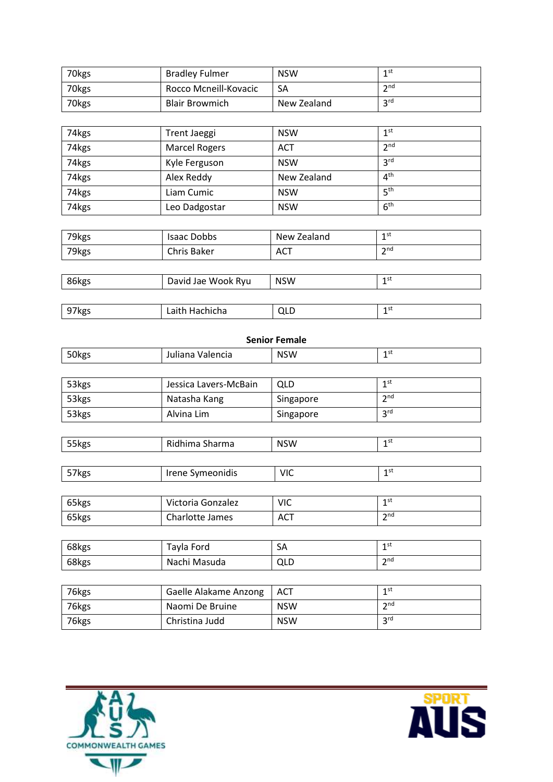| 70kgs | <b>Bradley Fulmer</b> | <b>NSW</b>  | 1 st              |
|-------|-----------------------|-------------|-------------------|
| 70kgs | Rocco Mcneill-Kovacic | SA          | $\mathbf{\infty}$ |
| 70kgs | <b>Blair Browmich</b> | New Zealand | <b>2rd</b>        |

| 74kgs | Trent Jaeggi         | <b>NSW</b>  | 1 <sup>st</sup> |
|-------|----------------------|-------------|-----------------|
| 74kgs | <b>Marcel Rogers</b> | <b>ACT</b>  | 2 <sup>nd</sup> |
| 74kgs | Kyle Ferguson        | <b>NSW</b>  | 3 <sup>rd</sup> |
| 74kgs | Alex Reddy           | New Zealand | 4 <sup>th</sup> |
| 74kgs | Liam Cumic           | <b>NSW</b>  | 5 <sup>th</sup> |
| 74kgs | Leo Dadgostar        | <b>NSW</b>  | 6 <sup>th</sup> |

| 79kgs | <b>Isaac Dobbs</b> | New Zealand | 1 st<br>-              |
|-------|--------------------|-------------|------------------------|
| 79kgs | Chris Baker        | <b>ACT</b>  | $\mathbf{\infty}$<br>- |
|       |                    |             |                        |

| 86kgs | David Jae Wook Ryu | <b>NSW</b> | 1 st |
|-------|--------------------|------------|------|
|       |                    |            |      |
| 97kgs | Laith Hachicha     | QLD        | 1 st |

| 50kgs | Juliana Valencia      | <b>NSW</b> | 1 <sup>st</sup> |
|-------|-----------------------|------------|-----------------|
|       |                       |            |                 |
| 53kgs | Jessica Lavers-McBain | <b>QLD</b> | 1 <sup>st</sup> |
| 53kgs | Natasha Kang          | Singapore  | 2 <sup>nd</sup> |
| 53kgs | Alvina Lim            | Singapore  | 3 <sup>rd</sup> |
|       |                       |            |                 |
| 55kgs | Ridhima Sharma        | <b>NSW</b> | 1 <sup>st</sup> |
|       |                       |            |                 |
| 57kgs | Irene Symeonidis      | <b>VIC</b> | 1 <sup>st</sup> |
|       |                       |            |                 |
| 65kgs | Victoria Gonzalez     | <b>VIC</b> | 1 <sup>st</sup> |
| 65kgs | Charlotte James       | <b>ACT</b> | 2 <sup>nd</sup> |
|       |                       |            |                 |
| 68kgs | Tayla Ford            | SA         | 1 <sup>st</sup> |
| 68kgs | Nachi Masuda          | <b>QLD</b> | 2 <sup>nd</sup> |
|       |                       |            |                 |
| 76kgs | Gaelle Alakame Anzong | <b>ACT</b> | 1 <sup>st</sup> |
| 76kgs | Naomi De Bruine       | <b>NSW</b> | 2 <sub>nd</sub> |
| 76kgs | Christina Judd        | <b>NSW</b> | 3 <sup>rd</sup> |



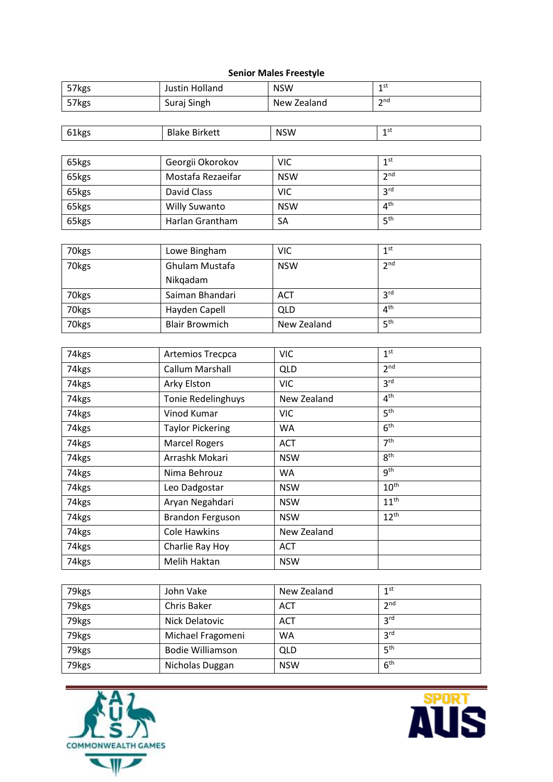#### **Senior Males Freestyle**

| 2 <sup>nd</sup><br>57kgs<br>Suraj Singh<br>New Zealand<br>1 <sup>st</sup><br>61kgs<br><b>Blake Birkett</b><br><b>NSW</b><br>1 <sup>st</sup><br>65kgs<br>Georgii Okorokov<br><b>VIC</b><br>2 <sup>nd</sup><br>Mostafa Rezaeifar<br>65kgs<br><b>NSW</b><br>3 <sup>rd</sup><br>David Class<br>65kgs<br><b>VIC</b><br>4 <sup>th</sup><br>65kgs<br><b>Willy Suwanto</b><br><b>NSW</b><br>5 <sup>th</sup><br>Harlan Grantham<br>SA<br>65kgs<br>1 <sup>st</sup><br>70kgs<br><b>VIC</b><br>Lowe Bingham<br>2 <sup>nd</sup><br>Ghulam Mustafa<br>70kgs<br><b>NSW</b><br>Nikqadam<br>3 <sup>rd</sup><br>70kgs<br>Saiman Bhandari<br><b>ACT</b><br>4 <sup>th</sup><br>Hayden Capell<br><b>QLD</b><br>70kgs<br>5 <sup>th</sup><br>70kgs<br><b>Blair Browmich</b><br>New Zealand<br>1 <sup>st</sup><br>74kgs<br>Artemios Trecpca<br><b>VIC</b><br>2 <sup>nd</sup><br>Callum Marshall<br>74kgs<br><b>QLD</b><br>3 <sup>rd</sup><br><b>VIC</b><br>74kgs<br>Arky Elston<br>4 <sup>th</sup><br>Tonie Redelinghuys<br>74kgs<br>New Zealand<br>5 <sup>th</sup><br>Vinod Kumar<br>74kgs<br><b>VIC</b><br>6 <sup>th</sup><br>74kgs<br><b>Taylor Pickering</b><br>WA<br>7 <sup>th</sup><br>74kgs<br><b>Marcel Rogers</b><br><b>ACT</b><br>8 <sup>th</sup><br>Arrashk Mokari<br>74kgs<br><b>NSW</b> | 57kgs | Justin Holland | <b>NSW</b> | 1 <sup>st</sup> |
|------------------------------------------------------------------------------------------------------------------------------------------------------------------------------------------------------------------------------------------------------------------------------------------------------------------------------------------------------------------------------------------------------------------------------------------------------------------------------------------------------------------------------------------------------------------------------------------------------------------------------------------------------------------------------------------------------------------------------------------------------------------------------------------------------------------------------------------------------------------------------------------------------------------------------------------------------------------------------------------------------------------------------------------------------------------------------------------------------------------------------------------------------------------------------------------------------------------------------------------------------------------------------|-------|----------------|------------|-----------------|
|                                                                                                                                                                                                                                                                                                                                                                                                                                                                                                                                                                                                                                                                                                                                                                                                                                                                                                                                                                                                                                                                                                                                                                                                                                                                              |       |                |            |                 |
|                                                                                                                                                                                                                                                                                                                                                                                                                                                                                                                                                                                                                                                                                                                                                                                                                                                                                                                                                                                                                                                                                                                                                                                                                                                                              |       |                |            |                 |
|                                                                                                                                                                                                                                                                                                                                                                                                                                                                                                                                                                                                                                                                                                                                                                                                                                                                                                                                                                                                                                                                                                                                                                                                                                                                              |       |                |            |                 |
|                                                                                                                                                                                                                                                                                                                                                                                                                                                                                                                                                                                                                                                                                                                                                                                                                                                                                                                                                                                                                                                                                                                                                                                                                                                                              |       |                |            |                 |
|                                                                                                                                                                                                                                                                                                                                                                                                                                                                                                                                                                                                                                                                                                                                                                                                                                                                                                                                                                                                                                                                                                                                                                                                                                                                              |       |                |            |                 |
|                                                                                                                                                                                                                                                                                                                                                                                                                                                                                                                                                                                                                                                                                                                                                                                                                                                                                                                                                                                                                                                                                                                                                                                                                                                                              |       |                |            |                 |
|                                                                                                                                                                                                                                                                                                                                                                                                                                                                                                                                                                                                                                                                                                                                                                                                                                                                                                                                                                                                                                                                                                                                                                                                                                                                              |       |                |            |                 |
|                                                                                                                                                                                                                                                                                                                                                                                                                                                                                                                                                                                                                                                                                                                                                                                                                                                                                                                                                                                                                                                                                                                                                                                                                                                                              |       |                |            |                 |
|                                                                                                                                                                                                                                                                                                                                                                                                                                                                                                                                                                                                                                                                                                                                                                                                                                                                                                                                                                                                                                                                                                                                                                                                                                                                              |       |                |            |                 |
|                                                                                                                                                                                                                                                                                                                                                                                                                                                                                                                                                                                                                                                                                                                                                                                                                                                                                                                                                                                                                                                                                                                                                                                                                                                                              |       |                |            |                 |
|                                                                                                                                                                                                                                                                                                                                                                                                                                                                                                                                                                                                                                                                                                                                                                                                                                                                                                                                                                                                                                                                                                                                                                                                                                                                              |       |                |            |                 |
|                                                                                                                                                                                                                                                                                                                                                                                                                                                                                                                                                                                                                                                                                                                                                                                                                                                                                                                                                                                                                                                                                                                                                                                                                                                                              |       |                |            |                 |
|                                                                                                                                                                                                                                                                                                                                                                                                                                                                                                                                                                                                                                                                                                                                                                                                                                                                                                                                                                                                                                                                                                                                                                                                                                                                              |       |                |            |                 |
|                                                                                                                                                                                                                                                                                                                                                                                                                                                                                                                                                                                                                                                                                                                                                                                                                                                                                                                                                                                                                                                                                                                                                                                                                                                                              |       |                |            |                 |
|                                                                                                                                                                                                                                                                                                                                                                                                                                                                                                                                                                                                                                                                                                                                                                                                                                                                                                                                                                                                                                                                                                                                                                                                                                                                              |       |                |            |                 |
|                                                                                                                                                                                                                                                                                                                                                                                                                                                                                                                                                                                                                                                                                                                                                                                                                                                                                                                                                                                                                                                                                                                                                                                                                                                                              |       |                |            |                 |
|                                                                                                                                                                                                                                                                                                                                                                                                                                                                                                                                                                                                                                                                                                                                                                                                                                                                                                                                                                                                                                                                                                                                                                                                                                                                              |       |                |            |                 |
|                                                                                                                                                                                                                                                                                                                                                                                                                                                                                                                                                                                                                                                                                                                                                                                                                                                                                                                                                                                                                                                                                                                                                                                                                                                                              |       |                |            |                 |
|                                                                                                                                                                                                                                                                                                                                                                                                                                                                                                                                                                                                                                                                                                                                                                                                                                                                                                                                                                                                                                                                                                                                                                                                                                                                              |       |                |            |                 |
|                                                                                                                                                                                                                                                                                                                                                                                                                                                                                                                                                                                                                                                                                                                                                                                                                                                                                                                                                                                                                                                                                                                                                                                                                                                                              |       |                |            |                 |
|                                                                                                                                                                                                                                                                                                                                                                                                                                                                                                                                                                                                                                                                                                                                                                                                                                                                                                                                                                                                                                                                                                                                                                                                                                                                              |       |                |            |                 |
|                                                                                                                                                                                                                                                                                                                                                                                                                                                                                                                                                                                                                                                                                                                                                                                                                                                                                                                                                                                                                                                                                                                                                                                                                                                                              |       |                |            |                 |
|                                                                                                                                                                                                                                                                                                                                                                                                                                                                                                                                                                                                                                                                                                                                                                                                                                                                                                                                                                                                                                                                                                                                                                                                                                                                              |       |                |            |                 |
|                                                                                                                                                                                                                                                                                                                                                                                                                                                                                                                                                                                                                                                                                                                                                                                                                                                                                                                                                                                                                                                                                                                                                                                                                                                                              |       |                |            |                 |
|                                                                                                                                                                                                                                                                                                                                                                                                                                                                                                                                                                                                                                                                                                                                                                                                                                                                                                                                                                                                                                                                                                                                                                                                                                                                              |       |                |            |                 |
|                                                                                                                                                                                                                                                                                                                                                                                                                                                                                                                                                                                                                                                                                                                                                                                                                                                                                                                                                                                                                                                                                                                                                                                                                                                                              | 74kgs | Nima Behrouz   | WA         | 9 <sup>th</sup> |
| $10^{\text{th}}$<br>74kgs<br>Leo Dadgostar<br><b>NSW</b>                                                                                                                                                                                                                                                                                                                                                                                                                                                                                                                                                                                                                                                                                                                                                                                                                                                                                                                                                                                                                                                                                                                                                                                                                     |       |                |            |                 |
| $11^{\text{th}}$<br>74kgs<br>Aryan Negahdari<br><b>NSW</b>                                                                                                                                                                                                                                                                                                                                                                                                                                                                                                                                                                                                                                                                                                                                                                                                                                                                                                                                                                                                                                                                                                                                                                                                                   |       |                |            |                 |
| $12^{th}$<br>74kgs<br><b>Brandon Ferguson</b><br><b>NSW</b>                                                                                                                                                                                                                                                                                                                                                                                                                                                                                                                                                                                                                                                                                                                                                                                                                                                                                                                                                                                                                                                                                                                                                                                                                  |       |                |            |                 |
| Cole Hawkins<br>74kgs<br>New Zealand                                                                                                                                                                                                                                                                                                                                                                                                                                                                                                                                                                                                                                                                                                                                                                                                                                                                                                                                                                                                                                                                                                                                                                                                                                         |       |                |            |                 |
| Charlie Ray Hoy<br>74kgs<br><b>ACT</b>                                                                                                                                                                                                                                                                                                                                                                                                                                                                                                                                                                                                                                                                                                                                                                                                                                                                                                                                                                                                                                                                                                                                                                                                                                       |       |                |            |                 |
| Melih Haktan<br><b>NSW</b><br>74kgs                                                                                                                                                                                                                                                                                                                                                                                                                                                                                                                                                                                                                                                                                                                                                                                                                                                                                                                                                                                                                                                                                                                                                                                                                                          |       |                |            |                 |
|                                                                                                                                                                                                                                                                                                                                                                                                                                                                                                                                                                                                                                                                                                                                                                                                                                                                                                                                                                                                                                                                                                                                                                                                                                                                              |       |                |            |                 |

| 79kgs | John Vake               | New Zealand | 1 <sup>st</sup> |
|-------|-------------------------|-------------|-----------------|
| 79kgs | Chris Baker             | ACT         | 2 <sup>nd</sup> |
| 79kgs | Nick Delatovic          | ACT         | 3 <sup>rd</sup> |
| 79kgs | Michael Fragomeni       | WA          | 3 <sup>rd</sup> |
| 79kgs | <b>Bodie Williamson</b> | QLD         | 5 <sup>th</sup> |
| 79kgs | Nicholas Duggan         | <b>NSW</b>  | 6 <sup>th</sup> |



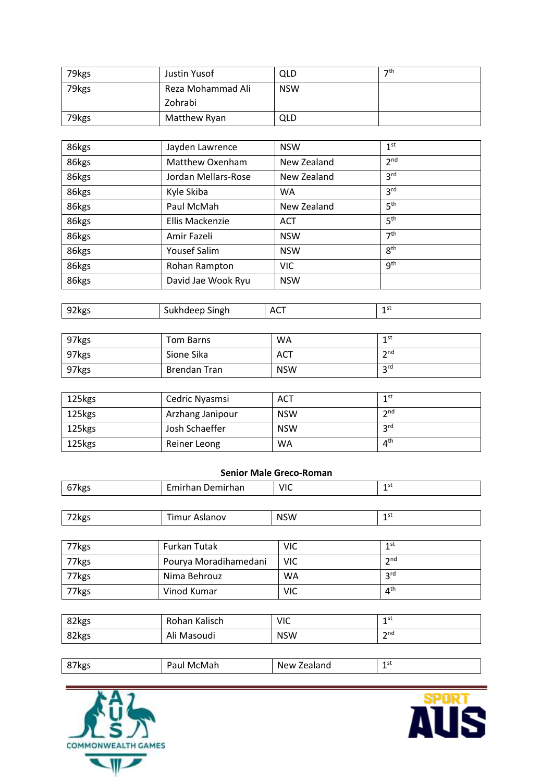| 79kgs | Justin Yusof      | QLD        | $\neg$ th |
|-------|-------------------|------------|-----------|
| 79kgs | Reza Mohammad Ali | <b>NSW</b> |           |
|       | Zohrabi           |            |           |
| 79kgs | Matthew Ryan      | QLD        |           |

| 86kgs | Jayden Lawrence     | <b>NSW</b>  | 1 <sup>st</sup> |
|-------|---------------------|-------------|-----------------|
| 86kgs | Matthew Oxenham     | New Zealand | 2 <sub>nd</sub> |
| 86kgs | Jordan Mellars-Rose | New Zealand | 3 <sup>rd</sup> |
| 86kgs | Kyle Skiba          | WA          | 3 <sup>rd</sup> |
| 86kgs | Paul McMah          | New Zealand | 5 <sup>th</sup> |
| 86kgs | Ellis Mackenzie     | <b>ACT</b>  | 5 <sup>th</sup> |
| 86kgs | Amir Fazeli         | <b>NSW</b>  | 7 <sup>th</sup> |
| 86kgs | <b>Yousef Salim</b> | <b>NSW</b>  | 8 <sup>th</sup> |
| 86kgs | Rohan Rampton       | <b>VIC</b>  | <b>gth</b>      |
| 86kgs | David Jae Wook Ryu  | <b>NSW</b>  |                 |

| $\sim$<br><b>47kgs</b><br>$-$ | singh | AC. | -<br>- |
|-------------------------------|-------|-----|--------|
|                               |       |     |        |

| 97kgs | Tom Barns    | <b>WA</b>  | 1st                    |
|-------|--------------|------------|------------------------|
| 97kgs | Sione Sika   | <b>ACT</b> | $\mathbf{\Im}$ nd<br>- |
| 97kgs | Brendan Tran | <b>NSW</b> | <b>2rd</b><br>ت        |

| 125kgs | Cedric Nyasmsi   | <b>ACT</b> | 1st             |
|--------|------------------|------------|-----------------|
| 125kgs | Arzhang Janipour | <b>NSW</b> | 2nd             |
| 125kgs | Josh Schaeffer   | <b>NSW</b> | <b>2rd</b>      |
| 125kgs | Reiner Leong     | WA         | 4 <sup>th</sup> |

### **Senior Male Greco-Roman**

| 67kgs | Emirhan Demirhan | <b>VIC</b> | 1st  |
|-------|------------------|------------|------|
|       |                  |            |      |
| 72kgs | Timur Aslanov    | <b>NSW</b> | 1 st |

| 77kgs | Furkan Tutak          | VIC | 1st             |
|-------|-----------------------|-----|-----------------|
| 77kgs | Pourya Moradihamedani | VIC | $\mathsf{and}$  |
| 77kgs | Nima Behrouz          | WA  | <b>2rd</b>      |
| 77kgs | Vinod Kumar           | VIC | 4 <sup>th</sup> |

| 82kgs | Rohan Kalisch | VIC         | 1st             |
|-------|---------------|-------------|-----------------|
| 82kgs | Ali Masoudi   | <b>NSW</b>  | $\mathsf{h}$ nd |
|       |               |             |                 |
| 87kgs | Paul McMah    | New Zealand | 1 <sub>st</sub> |